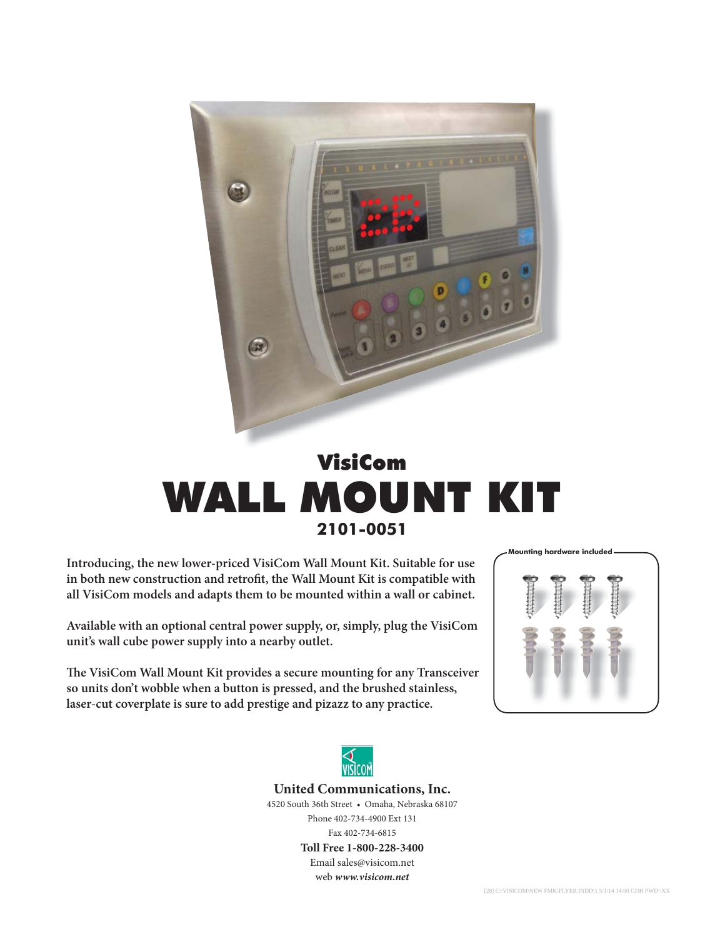

## VisiCom WALL MOUNT KIT **2101-0051**

**Introducing, the new lower-priced VisiCom Wall Mount Kit. Suitable for use**  in both new construction and retrofit, the Wall Mount Kit is compatible with **all VisiCom models and adapts them to be mounted within a wall or cabinet.**

**Available with an optional central power supply, or, simply, plug the VisiCom unit's wall cube power supply into a nearby outlet.**

The VisiCom Wall Mount Kit provides a secure mounting for any Transceiver **so units don't wobble when a button is pressed, and the brushed stainless, laser-cut coverplate is sure to add prestige and pizazz to any practice.**





#### **United Communications, Inc.**

4520 South 36th Street • Omaha, Nebraska 68107 Phone 402-734-4900 Ext 131 Fax 402-734-6815

> **Toll Free 1-800-228-3400** Email sales@visicom.net web *www.visicom.net*